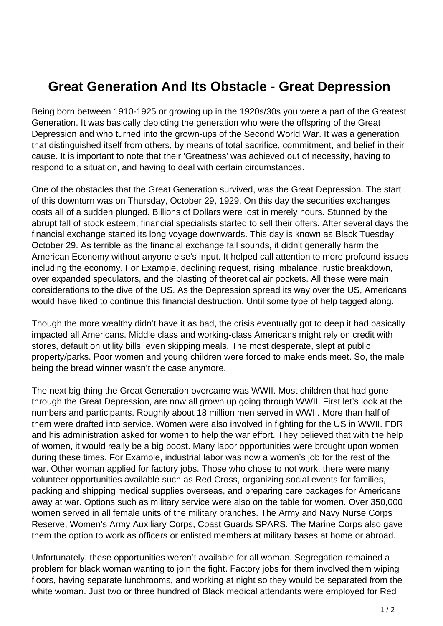## **Great Generation And Its Obstacle - Great Depression**

Being born between 1910-1925 or growing up in the 1920s/30s you were a part of the Greatest Generation. It was basically depicting the generation who were the offspring of the Great Depression and who turned into the grown-ups of the Second World War. It was a generation that distinguished itself from others, by means of total sacrifice, commitment, and belief in their cause. It is important to note that their 'Greatness' was achieved out of necessity, having to respond to a situation, and having to deal with certain circumstances.

One of the obstacles that the Great Generation survived, was the Great Depression. The start of this downturn was on Thursday, October 29, 1929. On this day the securities exchanges costs all of a sudden plunged. Billions of Dollars were lost in merely hours. Stunned by the abrupt fall of stock esteem, financial specialists started to sell their offers. After several days the financial exchange started its long voyage downwards. This day is known as Black Tuesday, October 29. As terrible as the financial exchange fall sounds, it didn't generally harm the American Economy without anyone else's input. It helped call attention to more profound issues including the economy. For Example, declining request, rising imbalance, rustic breakdown, over expanded speculators, and the blasting of theoretical air pockets. All these were main considerations to the dive of the US. As the Depression spread its way over the US, Americans would have liked to continue this financial destruction. Until some type of help tagged along.

Though the more wealthy didn't have it as bad, the crisis eventually got to deep it had basically impacted all Americans. Middle class and working-class Americans might rely on credit with stores, default on utility bills, even skipping meals. The most desperate, slept at public property/parks. Poor women and young children were forced to make ends meet. So, the male being the bread winner wasn't the case anymore.

The next big thing the Great Generation overcame was WWII. Most children that had gone through the Great Depression, are now all grown up going through WWII. First let's look at the numbers and participants. Roughly about 18 million men served in WWII. More than half of them were drafted into service. Women were also involved in fighting for the US in WWII. FDR and his administration asked for women to help the war effort. They believed that with the help of women, it would really be a big boost. Many labor opportunities were brought upon women during these times. For Example, industrial labor was now a women's job for the rest of the war. Other woman applied for factory jobs. Those who chose to not work, there were many volunteer opportunities available such as Red Cross, organizing social events for families, packing and shipping medical supplies overseas, and preparing care packages for Americans away at war. Options such as military service were also on the table for women. Over 350,000 women served in all female units of the military branches. The Army and Navy Nurse Corps Reserve, Women's Army Auxiliary Corps, Coast Guards SPARS. The Marine Corps also gave them the option to work as officers or enlisted members at military bases at home or abroad.

Unfortunately, these opportunities weren't available for all woman. Segregation remained a problem for black woman wanting to join the fight. Factory jobs for them involved them wiping floors, having separate lunchrooms, and working at night so they would be separated from the white woman. Just two or three hundred of Black medical attendants were employed for Red